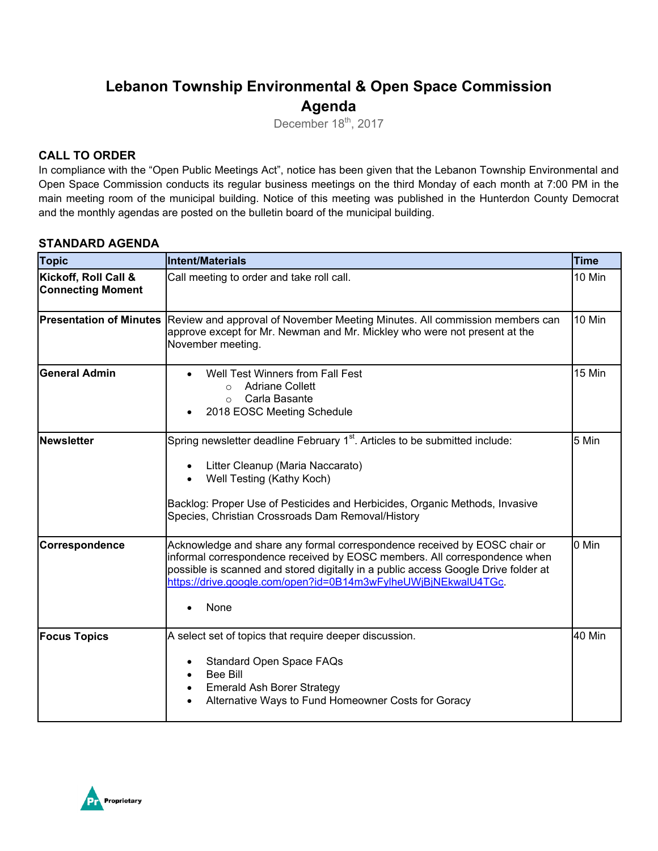# **Lebanon Township Environmental & Open Space Commission Agenda**

December 18<sup>th</sup>, 2017

### **CALL TO ORDER**

In compliance with the "Open Public Meetings Act", notice has been given that the Lebanon Township Environmental and Open Space Commission conducts its regular business meetings on the third Monday of each month at 7:00 PM in the main meeting room of the municipal building. Notice of this meeting was published in the Hunterdon County Democrat and the monthly agendas are posted on the bulletin board of the municipal building.

#### **STANDARD AGENDA**

| <b>Topic</b>                                     | <b>Intent/Materials</b>                                                                                                                                                                                                                                                                                                             | <b>Time</b> |
|--------------------------------------------------|-------------------------------------------------------------------------------------------------------------------------------------------------------------------------------------------------------------------------------------------------------------------------------------------------------------------------------------|-------------|
| Kickoff, Roll Call &<br><b>Connecting Moment</b> | Call meeting to order and take roll call.                                                                                                                                                                                                                                                                                           | 10 Min      |
| <b>Presentation of Minutes</b>                   | Review and approval of November Meeting Minutes. All commission members can<br>approve except for Mr. Newman and Mr. Mickley who were not present at the<br>November meeting.                                                                                                                                                       | 10 Min      |
| <b>General Admin</b>                             | Well Test Winners from Fall Fest<br>$\bullet$<br><b>Adriane Collett</b><br>$\circ$<br>Carla Basante<br>$\bigcirc$<br>2018 EOSC Meeting Schedule                                                                                                                                                                                     | 15 Min      |
| Newsletter                                       | Spring newsletter deadline February 1 <sup>st</sup> . Articles to be submitted include:<br>Litter Cleanup (Maria Naccarato)<br>$\bullet$<br>Well Testing (Kathy Koch)<br>Backlog: Proper Use of Pesticides and Herbicides, Organic Methods, Invasive<br>Species, Christian Crossroads Dam Removal/History                           | 5 Min       |
| Correspondence                                   | Acknowledge and share any formal correspondence received by EOSC chair or<br>informal correspondence received by EOSC members. All correspondence when<br>possible is scanned and stored digitally in a public access Google Drive folder at<br>https://drive.google.com/open?id=0B14m3wFylheUWjBjNEkwalU4TGc.<br>None<br>$\bullet$ | 0 Min       |
| <b>Focus Topics</b>                              | A select set of topics that require deeper discussion.<br><b>Standard Open Space FAQs</b><br><b>Bee Bill</b><br><b>Emerald Ash Borer Strategy</b><br>$\bullet$<br>Alternative Ways to Fund Homeowner Costs for Goracy                                                                                                               | 40 Min      |

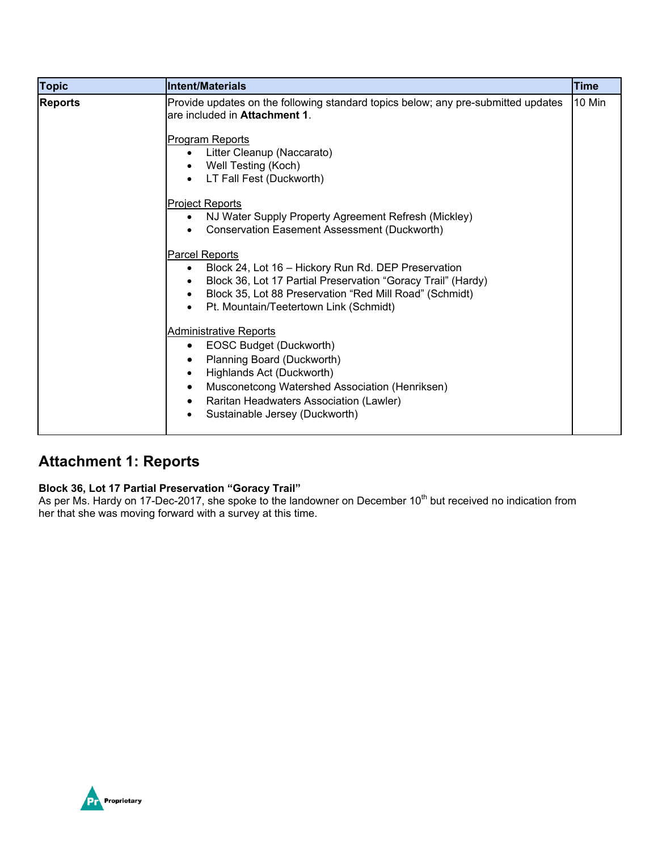| <b>Topic</b>   | Intent/Materials                                                                                                                                                                                                                                                                  | <b>Time</b> |
|----------------|-----------------------------------------------------------------------------------------------------------------------------------------------------------------------------------------------------------------------------------------------------------------------------------|-------------|
| <b>Reports</b> | Provide updates on the following standard topics below; any pre-submitted updates<br>are included in Attachment 1.                                                                                                                                                                | 10 Min      |
|                | <b>Program Reports</b><br>Litter Cleanup (Naccarato)<br>$\bullet$<br>Well Testing (Koch)<br>LT Fall Fest (Duckworth)                                                                                                                                                              |             |
|                | <b>Project Reports</b><br>NJ Water Supply Property Agreement Refresh (Mickley)<br>Conservation Easement Assessment (Duckworth)                                                                                                                                                    |             |
|                | Parcel Reports<br>Block 24, Lot 16 - Hickory Run Rd. DEP Preservation<br>٠<br>Block 36, Lot 17 Partial Preservation "Goracy Trail" (Hardy)<br>Block 35, Lot 88 Preservation "Red Mill Road" (Schmidt)<br>Pt. Mountain/Teetertown Link (Schmidt)<br>$\bullet$                      |             |
|                | <b>Administrative Reports</b><br>EOSC Budget (Duckworth)<br>$\bullet$<br>Planning Board (Duckworth)<br>Highlands Act (Duckworth)<br>$\bullet$<br>Musconetcong Watershed Association (Henriksen)<br>٠<br>Raritan Headwaters Association (Lawler)<br>Sustainable Jersey (Duckworth) |             |

## **Attachment 1: Reports**

#### **Block 36, Lot 17 Partial Preservation "Goracy Trail"**

As per Ms. Hardy on 17-Dec-2017, she spoke to the landowner on December 10<sup>th</sup> but received no indication from her that she was moving forward with a survey at this time.

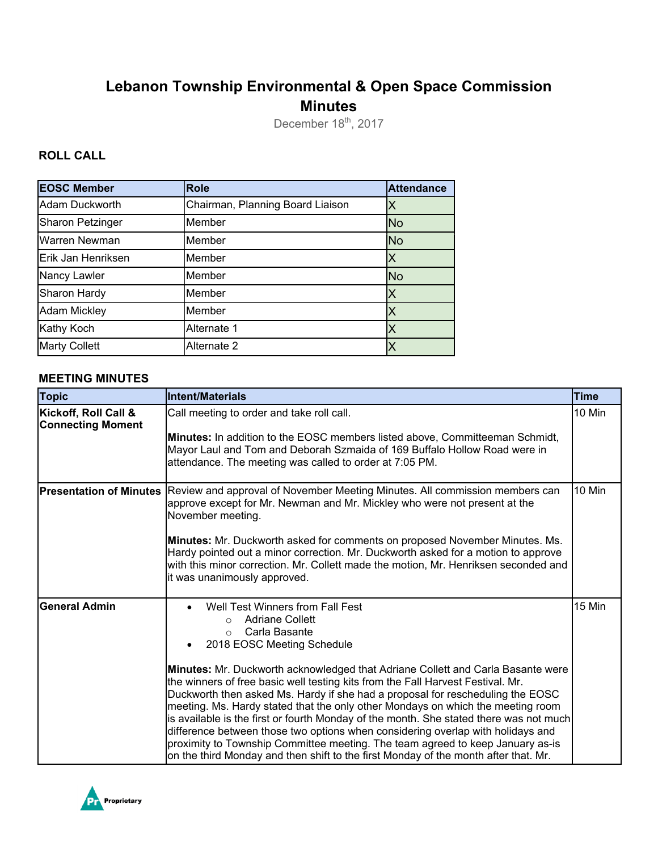# **Lebanon Township Environmental & Open Space Commission Minutes**

December 18<sup>th</sup>, 2017

### **ROLL CALL**

| <b>EOSC Member</b>      | <b>Role</b>                      | <b>Attendance</b> |
|-------------------------|----------------------------------|-------------------|
| Adam Duckworth          | Chairman, Planning Board Liaison | X                 |
| <b>Sharon Petzinger</b> | Member                           | <b>No</b>         |
| Warren Newman           | Member                           | <b>No</b>         |
| Erik Jan Henriksen      | Member                           | X                 |
| Nancy Lawler            | Member                           | <b>No</b>         |
| Sharon Hardy            | Member                           | X                 |
| <b>Adam Mickley</b>     | Member                           | X                 |
| Kathy Koch              | Alternate 1                      | X                 |
| <b>Marty Collett</b>    | Alternate 2                      |                   |

#### **MEETING MINUTES**

| <b>Topic</b>                                     | <b>Intent/Materials</b>                                                                                                                                                                                                                                                                                                                                                                                                                                                                                                                                                                                                                                                                                                                                                                                                            | <b>Time</b> |
|--------------------------------------------------|------------------------------------------------------------------------------------------------------------------------------------------------------------------------------------------------------------------------------------------------------------------------------------------------------------------------------------------------------------------------------------------------------------------------------------------------------------------------------------------------------------------------------------------------------------------------------------------------------------------------------------------------------------------------------------------------------------------------------------------------------------------------------------------------------------------------------------|-------------|
| Kickoff, Roll Call &<br><b>Connecting Moment</b> | Call meeting to order and take roll call.<br>Minutes: In addition to the EOSC members listed above, Committeeman Schmidt,<br>Mayor Laul and Tom and Deborah Szmaida of 169 Buffalo Hollow Road were in<br>attendance. The meeting was called to order at 7:05 PM.                                                                                                                                                                                                                                                                                                                                                                                                                                                                                                                                                                  | 10 Min      |
| <b>Presentation of Minutes</b>                   | Review and approval of November Meeting Minutes. All commission members can<br>approve except for Mr. Newman and Mr. Mickley who were not present at the<br>November meeting.<br>Minutes: Mr. Duckworth asked for comments on proposed November Minutes. Ms.<br>Hardy pointed out a minor correction. Mr. Duckworth asked for a motion to approve<br>with this minor correction. Mr. Collett made the motion, Mr. Henriksen seconded and<br>it was unanimously approved.                                                                                                                                                                                                                                                                                                                                                           | 10 Min      |
| <b>General Admin</b>                             | Well Test Winners from Fall Fest<br><b>Adriane Collett</b><br>$\bigcap$<br>Carla Basante<br>$\circ$<br>2018 EOSC Meeting Schedule<br>Minutes: Mr. Duckworth acknowledged that Adriane Collett and Carla Basante were<br>the winners of free basic well testing kits from the Fall Harvest Festival. Mr.<br>Duckworth then asked Ms. Hardy if she had a proposal for rescheduling the EOSC<br>meeting. Ms. Hardy stated that the only other Mondays on which the meeting room<br>is available is the first or fourth Monday of the month. She stated there was not much<br>difference between those two options when considering overlap with holidays and<br>proximity to Township Committee meeting. The team agreed to keep January as-is<br>on the third Monday and then shift to the first Monday of the month after that. Mr. | 15 Min      |

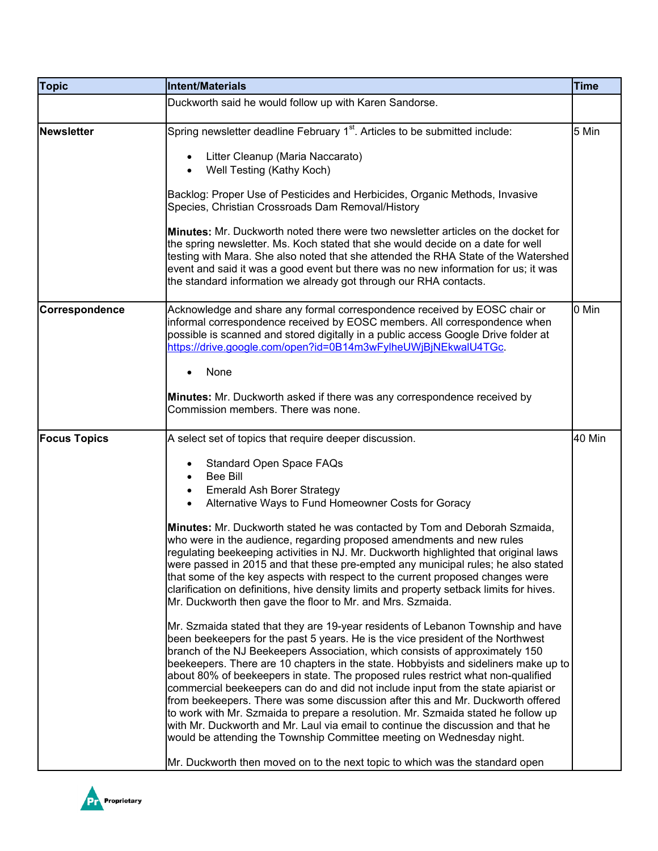| <b>Topic</b>        | Intent/Materials                                                                                                                                                                                                                                                                                                                                                                                                                                                                                                                                                                                                                                                                                                                                                                                                                                                                                                                        | <b>Time</b> |
|---------------------|-----------------------------------------------------------------------------------------------------------------------------------------------------------------------------------------------------------------------------------------------------------------------------------------------------------------------------------------------------------------------------------------------------------------------------------------------------------------------------------------------------------------------------------------------------------------------------------------------------------------------------------------------------------------------------------------------------------------------------------------------------------------------------------------------------------------------------------------------------------------------------------------------------------------------------------------|-------------|
|                     | Duckworth said he would follow up with Karen Sandorse.                                                                                                                                                                                                                                                                                                                                                                                                                                                                                                                                                                                                                                                                                                                                                                                                                                                                                  |             |
| Newsletter          | Spring newsletter deadline February 1 <sup>st</sup> . Articles to be submitted include:                                                                                                                                                                                                                                                                                                                                                                                                                                                                                                                                                                                                                                                                                                                                                                                                                                                 | 5 Min       |
|                     | Litter Cleanup (Maria Naccarato)<br>$\bullet$<br>Well Testing (Kathy Koch)<br>$\bullet$                                                                                                                                                                                                                                                                                                                                                                                                                                                                                                                                                                                                                                                                                                                                                                                                                                                 |             |
|                     | Backlog: Proper Use of Pesticides and Herbicides, Organic Methods, Invasive<br>Species, Christian Crossroads Dam Removal/History                                                                                                                                                                                                                                                                                                                                                                                                                                                                                                                                                                                                                                                                                                                                                                                                        |             |
|                     | <b>Minutes:</b> Mr. Duckworth noted there were two newsletter articles on the docket for<br>the spring newsletter. Ms. Koch stated that she would decide on a date for well<br>testing with Mara. She also noted that she attended the RHA State of the Watershed<br>event and said it was a good event but there was no new information for us; it was<br>the standard information we already got through our RHA contacts.                                                                                                                                                                                                                                                                                                                                                                                                                                                                                                            |             |
| Correspondence      | Acknowledge and share any formal correspondence received by EOSC chair or<br>informal correspondence received by EOSC members. All correspondence when<br>possible is scanned and stored digitally in a public access Google Drive folder at<br>https://drive.google.com/open?id=0B14m3wFylheUWjBjNEkwalU4TGc.                                                                                                                                                                                                                                                                                                                                                                                                                                                                                                                                                                                                                          | 0 Min       |
|                     | None                                                                                                                                                                                                                                                                                                                                                                                                                                                                                                                                                                                                                                                                                                                                                                                                                                                                                                                                    |             |
|                     | Minutes: Mr. Duckworth asked if there was any correspondence received by<br>Commission members. There was none.                                                                                                                                                                                                                                                                                                                                                                                                                                                                                                                                                                                                                                                                                                                                                                                                                         |             |
| <b>Focus Topics</b> | A select set of topics that require deeper discussion.                                                                                                                                                                                                                                                                                                                                                                                                                                                                                                                                                                                                                                                                                                                                                                                                                                                                                  | 40 Min      |
|                     | <b>Standard Open Space FAQs</b><br><b>Bee Bill</b><br><b>Emerald Ash Borer Strategy</b><br>$\bullet$<br>Alternative Ways to Fund Homeowner Costs for Goracy                                                                                                                                                                                                                                                                                                                                                                                                                                                                                                                                                                                                                                                                                                                                                                             |             |
|                     | Minutes: Mr. Duckworth stated he was contacted by Tom and Deborah Szmaida,<br>who were in the audience, regarding proposed amendments and new rules<br>regulating beekeeping activities in NJ. Mr. Duckworth highlighted that original laws<br>were passed in 2015 and that these pre-empted any municipal rules; he also stated<br>that some of the key aspects with respect to the current proposed changes were<br>clarification on definitions, hive density limits and property setback limits for hives.<br>Mr. Duckworth then gave the floor to Mr. and Mrs. Szmaida.                                                                                                                                                                                                                                                                                                                                                            |             |
|                     | Mr. Szmaida stated that they are 19-year residents of Lebanon Township and have<br>been beekeepers for the past 5 years. He is the vice president of the Northwest<br>branch of the NJ Beekeepers Association, which consists of approximately 150<br>beekeepers. There are 10 chapters in the state. Hobbyists and sideliners make up to<br>about 80% of beekeepers in state. The proposed rules restrict what non-qualified<br>commercial beekeepers can do and did not include input from the state apiarist or<br>from beekeepers. There was some discussion after this and Mr. Duckworth offered<br>to work with Mr. Szmaida to prepare a resolution. Mr. Szmaida stated he follow up<br>with Mr. Duckworth and Mr. Laul via email to continue the discussion and that he<br>would be attending the Township Committee meeting on Wednesday night.<br>Mr. Duckworth then moved on to the next topic to which was the standard open |             |

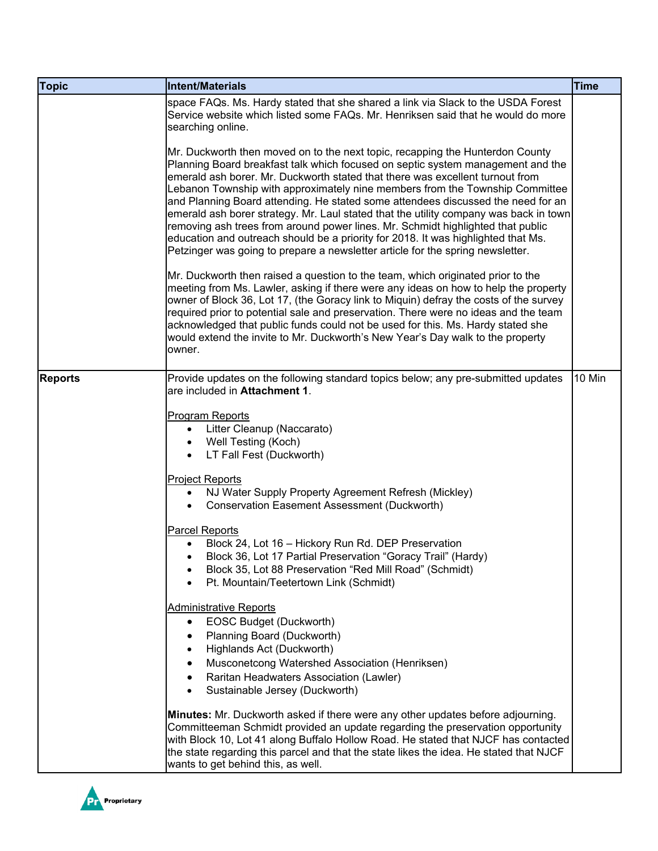| <b>Topic</b>   | Intent/Materials                                                                                                                                                                                                                                                                                                                                                                                                                                                                                                                                                                                                                                                                                                                                                         | <b>Time</b> |
|----------------|--------------------------------------------------------------------------------------------------------------------------------------------------------------------------------------------------------------------------------------------------------------------------------------------------------------------------------------------------------------------------------------------------------------------------------------------------------------------------------------------------------------------------------------------------------------------------------------------------------------------------------------------------------------------------------------------------------------------------------------------------------------------------|-------------|
|                | space FAQs. Ms. Hardy stated that she shared a link via Slack to the USDA Forest<br>Service website which listed some FAQs. Mr. Henriksen said that he would do more<br>searching online.                                                                                                                                                                                                                                                                                                                                                                                                                                                                                                                                                                                |             |
|                | Mr. Duckworth then moved on to the next topic, recapping the Hunterdon County<br>Planning Board breakfast talk which focused on septic system management and the<br>emerald ash borer. Mr. Duckworth stated that there was excellent turnout from<br>Lebanon Township with approximately nine members from the Township Committee<br>and Planning Board attending. He stated some attendees discussed the need for an<br>emerald ash borer strategy. Mr. Laul stated that the utility company was back in town<br>removing ash trees from around power lines. Mr. Schmidt highlighted that public<br>education and outreach should be a priority for 2018. It was highlighted that Ms.<br>Petzinger was going to prepare a newsletter article for the spring newsletter. |             |
|                | Mr. Duckworth then raised a question to the team, which originated prior to the<br>meeting from Ms. Lawler, asking if there were any ideas on how to help the property<br>owner of Block 36, Lot 17, (the Goracy link to Miquin) defray the costs of the survey<br>required prior to potential sale and preservation. There were no ideas and the team<br>acknowledged that public funds could not be used for this. Ms. Hardy stated she<br>would extend the invite to Mr. Duckworth's New Year's Day walk to the property<br>owner.                                                                                                                                                                                                                                    |             |
| <b>Reports</b> | Provide updates on the following standard topics below; any pre-submitted updates<br>are included in Attachment 1.                                                                                                                                                                                                                                                                                                                                                                                                                                                                                                                                                                                                                                                       | 10 Min      |
|                | Program Reports<br>Litter Cleanup (Naccarato)<br>$\bullet$<br>Well Testing (Koch)<br>LT Fall Fest (Duckworth)                                                                                                                                                                                                                                                                                                                                                                                                                                                                                                                                                                                                                                                            |             |
|                | <b>Project Reports</b><br>NJ Water Supply Property Agreement Refresh (Mickley)<br><b>Conservation Easement Assessment (Duckworth)</b>                                                                                                                                                                                                                                                                                                                                                                                                                                                                                                                                                                                                                                    |             |
|                | <b>Parcel Reports</b><br>Block 24, Lot 16 - Hickory Run Rd. DEP Preservation<br>Block 36, Lot 17 Partial Preservation "Goracy Trail" (Hardy)<br>Block 35, Lot 88 Preservation "Red Mill Road" (Schmidt)<br>Pt. Mountain/Teetertown Link (Schmidt)                                                                                                                                                                                                                                                                                                                                                                                                                                                                                                                        |             |
|                | <b>Administrative Reports</b><br>EOSC Budget (Duckworth)<br>٠<br>Planning Board (Duckworth)<br>Highlands Act (Duckworth)<br>Musconetcong Watershed Association (Henriksen)<br>Raritan Headwaters Association (Lawler)<br>Sustainable Jersey (Duckworth)<br>$\bullet$                                                                                                                                                                                                                                                                                                                                                                                                                                                                                                     |             |
|                | Minutes: Mr. Duckworth asked if there were any other updates before adjourning.<br>Committeeman Schmidt provided an update regarding the preservation opportunity<br>with Block 10, Lot 41 along Buffalo Hollow Road. He stated that NJCF has contacted<br>the state regarding this parcel and that the state likes the idea. He stated that NJCF<br>wants to get behind this, as well.                                                                                                                                                                                                                                                                                                                                                                                  |             |